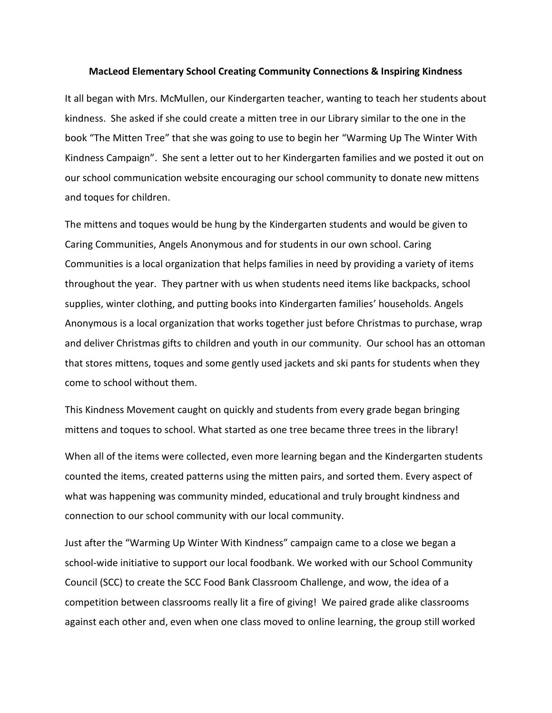## **MacLeod Elementary School Creating Community Connections & Inspiring Kindness**

It all began with Mrs. McMullen, our Kindergarten teacher, wanting to teach her students about kindness. She asked if she could create a mitten tree in our Library similar to the one in the book "The Mitten Tree" that she was going to use to begin her "Warming Up The Winter With Kindness Campaign". She sent a letter out to her Kindergarten families and we posted it out on our school communication website encouraging our school community to donate new mittens and toques for children.

The mittens and toques would be hung by the Kindergarten students and would be given to Caring Communities, Angels Anonymous and for students in our own school. Caring Communities is a local organization that helps families in need by providing a variety of items throughout the year. They partner with us when students need items like backpacks, school supplies, winter clothing, and putting books into Kindergarten families' households. Angels Anonymous is a local organization that works together just before Christmas to purchase, wrap and deliver Christmas gifts to children and youth in our community. Our school has an ottoman that stores mittens, toques and some gently used jackets and ski pants for students when they come to school without them.

This Kindness Movement caught on quickly and students from every grade began bringing mittens and toques to school. What started as one tree became three trees in the library!

When all of the items were collected, even more learning began and the Kindergarten students counted the items, created patterns using the mitten pairs, and sorted them. Every aspect of what was happening was community minded, educational and truly brought kindness and connection to our school community with our local community.

Just after the "Warming Up Winter With Kindness" campaign came to a close we began a school-wide initiative to support our local foodbank. We worked with our School Community Council (SCC) to create the SCC Food Bank Classroom Challenge, and wow, the idea of a competition between classrooms really lit a fire of giving! We paired grade alike classrooms against each other and, even when one class moved to online learning, the group still worked